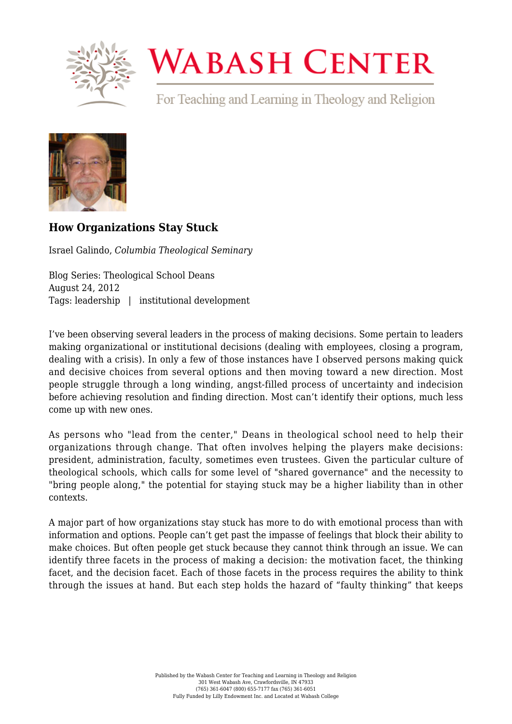

## **WABASH CENTER**

For Teaching and Learning in Theology and Religion



## **[How Organizations Stay Stuck](https://www.wabashcenter.wabash.edu/2012/08/how-organizations-stay-stuck/)**

Israel Galindo, *Columbia Theological Seminary*

Blog Series: Theological School Deans August 24, 2012 Tags: leadership | institutional development

I've been observing several leaders in the process of making decisions. Some pertain to leaders making organizational or institutional decisions (dealing with employees, closing a program, dealing with a crisis). In only a few of those instances have I observed persons making quick and decisive choices from several options and then moving toward a new direction. Most people struggle through a long winding, angst-filled process of uncertainty and indecision before achieving resolution and finding direction. Most can't identify their options, much less come up with new ones.

As persons who "lead from the center," Deans in theological school need to help their organizations through change. That often involves helping the players make decisions: president, administration, faculty, sometimes even trustees. Given the particular culture of theological schools, which calls for some level of "shared governance" and the necessity to "bring people along," the potential for staying stuck may be a higher liability than in other contexts.

A major part of how organizations stay stuck has more to do with emotional process than with information and options. People can't get past the impasse of feelings that block their ability to make choices. But often people get stuck because they cannot think through an issue. We can identify three facets in the process of making a decision: the motivation facet, the thinking facet, and the decision facet. Each of those facets in the process requires the ability to think through the issues at hand. But each step holds the hazard of "faulty thinking" that keeps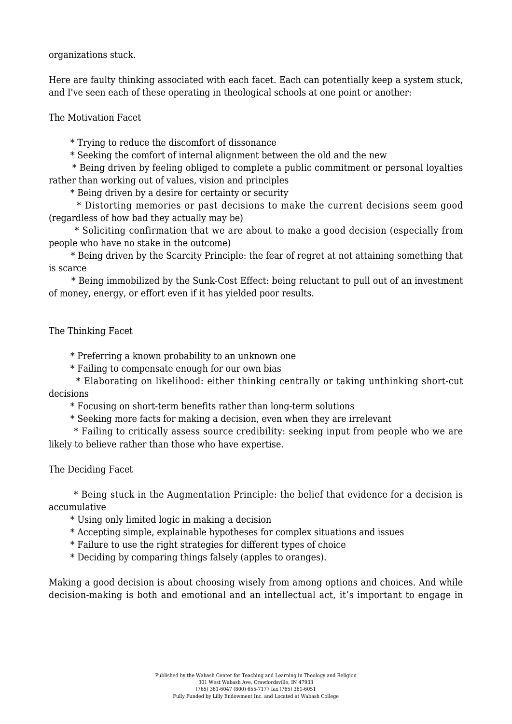organizations stuck.

Here are faulty thinking associated with each facet. Each can potentially keep a system stuck, and I've seen each of these operating in theological schools at one point or another:

The Motivation Facet

\* Trying to reduce the discomfort of dissonance

\* Seeking the comfort of internal alignment between the old and the new

 \* Being driven by feeling obliged to complete a public commitment or personal loyalties rather than working out of values, vision and principles

\* Being driven by a desire for certainty or security

 \* Distorting memories or past decisions to make the current decisions seem good (regardless of how bad they actually may be)

 \* Soliciting confirmation that we are about to make a good decision (especially from people who have no stake in the outcome)

 \* Being driven by the Scarcity Principle: the fear of regret at not attaining something that is scarce

 \* Being immobilized by the Sunk-Cost Effect: being reluctant to pull out of an investment of money, energy, or effort even if it has yielded poor results.

The Thinking Facet

\* Preferring a known probability to an unknown one

\* Failing to compensate enough for our own bias

 \* Elaborating on likelihood: either thinking centrally or taking unthinking short-cut decisions

\* Focusing on short-term benefits rather than long-term solutions

\* Seeking more facts for making a decision, even when they are irrelevant

 \* Failing to critically assess source credibility: seeking input from people who we are likely to believe rather than those who have expertise.

The Deciding Facet

 \* Being stuck in the Augmentation Principle: the belief that evidence for a decision is accumulative

\* Using only limited logic in making a decision

\* Accepting simple, explainable hypotheses for complex situations and issues

\* Failure to use the right strategies for different types of choice

\* Deciding by comparing things falsely (apples to oranges).

Making a good decision is about choosing wisely from among options and choices. And while decision-making is both and emotional and an intellectual act, it's important to engage in